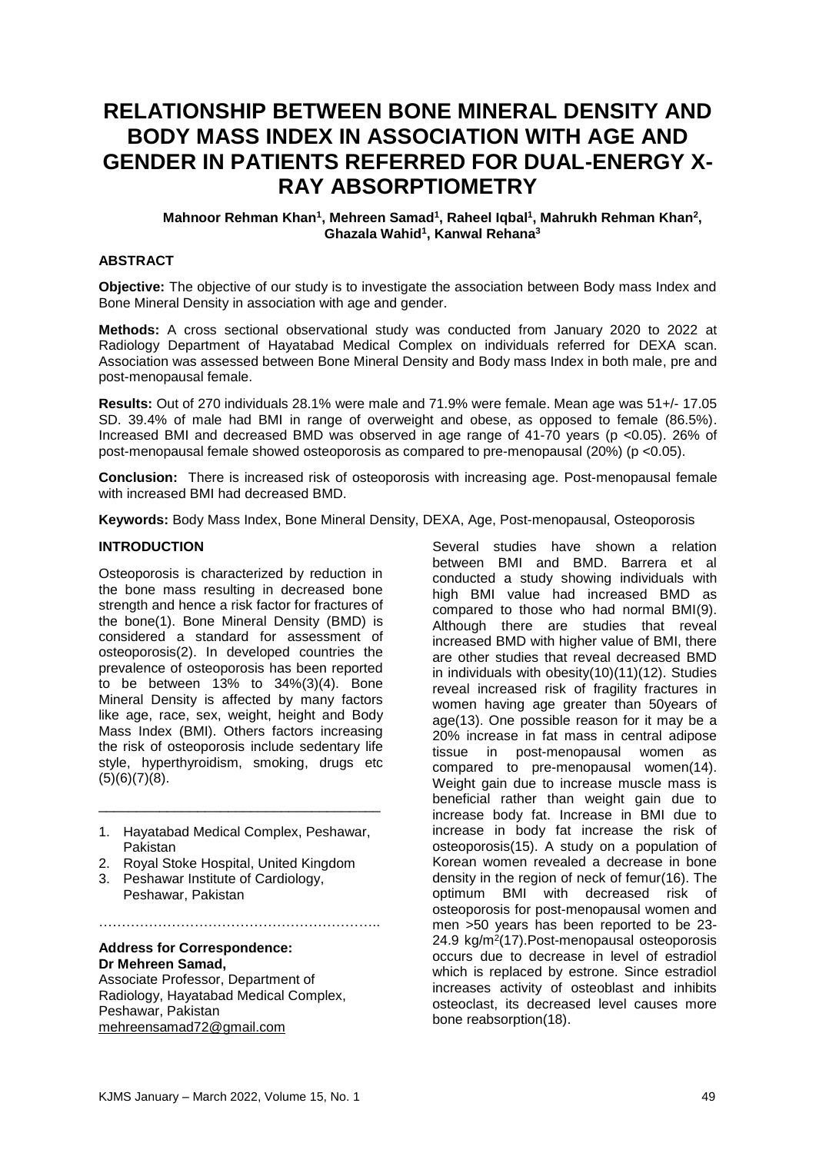# **RELATIONSHIP BETWEEN BONE MINERAL DENSITY AND BODY MASS INDEX IN ASSOCIATION WITH AGE AND GENDER IN PATIENTS REFERRED FOR DUAL-ENERGY X-RAY ABSORPTIOMETRY**

#### **Mahnoor Rehman Khan<sup>1</sup> , Mehreen Samad<sup>1</sup> , Raheel Iqbal<sup>1</sup> , Mahrukh Rehman Khan<sup>2</sup> , Ghazala Wahid<sup>1</sup> , Kanwal Rehana<sup>3</sup>**

#### **ABSTRACT**

**Objective:** The objective of our study is to investigate the association between Body mass Index and Bone Mineral Density in association with age and gender.

**Methods:** A cross sectional observational study was conducted from January 2020 to 2022 at Radiology Department of Hayatabad Medical Complex on individuals referred for DEXA scan. Association was assessed between Bone Mineral Density and Body mass Index in both male, pre and post-menopausal female.

**Results:** Out of 270 individuals 28.1% were male and 71.9% were female. Mean age was 51+/- 17.05 SD. 39.4% of male had BMI in range of overweight and obese, as opposed to female (86.5%). Increased BMI and decreased BMD was observed in age range of 41-70 years (p <0.05). 26% of post-menopausal female showed osteoporosis as compared to pre-menopausal (20%) (p <0.05).

**Conclusion:** There is increased risk of osteoporosis with increasing age. Post-menopausal female with increased BMI had decreased BMD.

**Keywords:** Body Mass Index, Bone Mineral Density, DEXA, Age, Post-menopausal, Osteoporosis

#### **INTRODUCTION**

Osteoporosis is characterized by reduction in the bone mass resulting in decreased bone strength and hence a risk factor for fractures of the bone(1). Bone Mineral Density (BMD) is considered a standard for assessment of osteoporosis(2). In developed countries the prevalence of osteoporosis has been reported to be between  $13\%$  to  $34\%/3)(4)$ . Bone Mineral Density is affected by many factors like age, race, sex, weight, height and Body Mass Index (BMI). Others factors increasing the risk of osteoporosis include sedentary life style, hyperthyroidism, smoking, drugs etc  $(5)(6)(7)(8)$ .

1. Hayatabad Medical Complex, Peshawar, Pakistan

……………………………………………………..

\_\_\_\_\_\_\_\_\_\_\_\_\_\_\_\_\_\_\_\_\_\_\_\_\_\_\_\_\_\_\_\_\_\_\_\_\_

- 2. Royal Stoke Hospital, United Kingdom
- 3. Peshawar Institute of Cardiology, Peshawar, Pakistan

# **Address for Correspondence: Dr Mehreen Samad,**

Associate Professor, Department of Radiology, Hayatabad Medical Complex, Peshawar, Pakistan [mehreensamad72@gmail.com](mailto:mehreensamad72@gmail.com)

Several studies have shown a relation between BMI and BMD. Barrera et al conducted a study showing individuals with high BMI value had increased BMD as compared to those who had normal BMI(9). Although there are studies that reveal increased BMD with higher value of BMI, there are other studies that reveal decreased BMD in individuals with obesity(10)(11)(12). Studies reveal increased risk of fragility fractures in women having age greater than 50years of age(13). One possible reason for it may be a 20% increase in fat mass in central adipose tissue in post-menopausal women as compared to pre-menopausal women(14). Weight gain due to increase muscle mass is beneficial rather than weight gain due to increase body fat. Increase in BMI due to increase in body fat increase the risk of osteoporosis(15). A study on a population of Korean women revealed a decrease in bone density in the region of neck of femur(16). The optimum BMI with decreased risk of osteoporosis for post-menopausal women and men >50 years has been reported to be 23- 24.9 kg/m<sup>2</sup>(17). Post-menopausal osteoporosis occurs due to decrease in level of estradiol which is replaced by estrone. Since estradiol increases activity of osteoblast and inhibits osteoclast, its decreased level causes more bone reabsorption(18).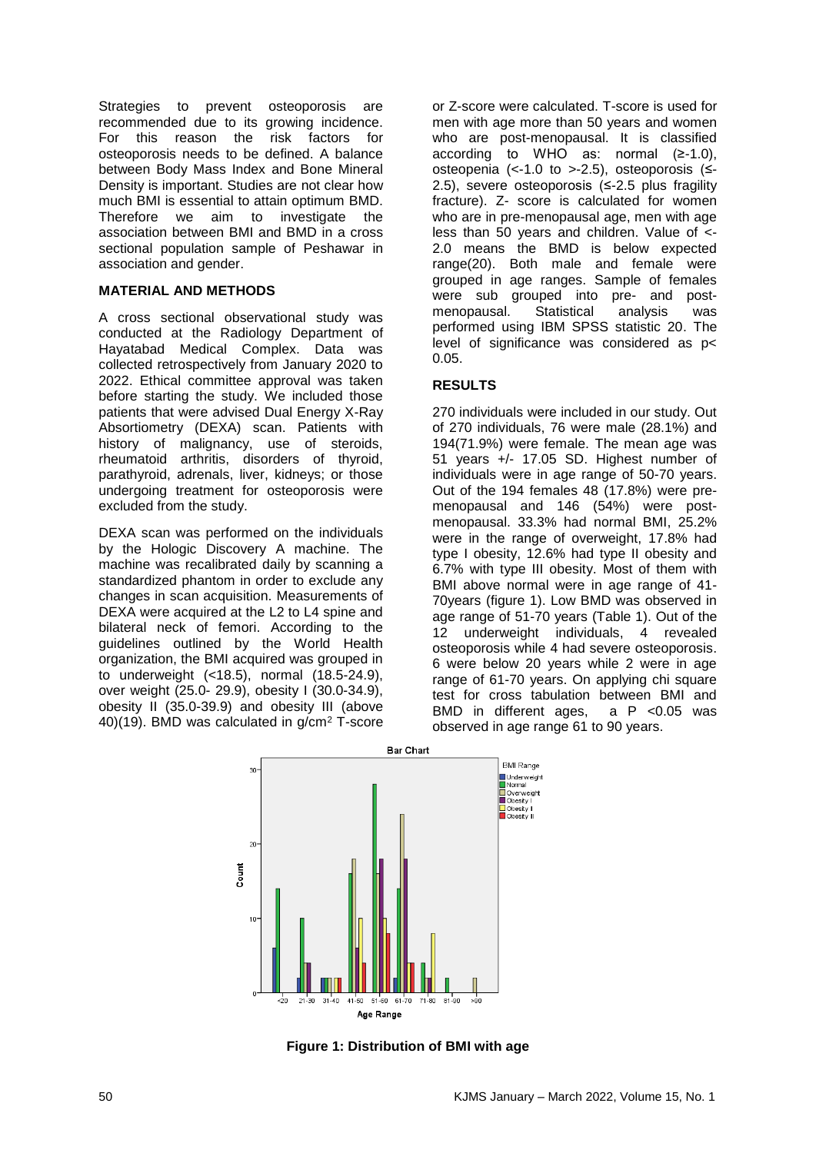Strategies to prevent osteoporosis are recommended due to its growing incidence. For this reason the risk factors for osteoporosis needs to be defined. A balance between Body Mass Index and Bone Mineral Density is important. Studies are not clear how much BMI is essential to attain optimum BMD. Therefore we aim to investigate the association between BMI and BMD in a cross sectional population sample of Peshawar in association and gender.

## **MATERIAL AND METHODS**

A cross sectional observational study was conducted at the Radiology Department of Hayatabad Medical Complex. Data was collected retrospectively from January 2020 to 2022. Ethical committee approval was taken before starting the study. We included those patients that were advised Dual Energy X-Ray Absortiometry (DEXA) scan. Patients with history of malignancy, use of steroids, rheumatoid arthritis, disorders of thyroid, parathyroid, adrenals, liver, kidneys; or those undergoing treatment for osteoporosis were excluded from the study.

DEXA scan was performed on the individuals by the Hologic Discovery A machine. The machine was recalibrated daily by scanning a standardized phantom in order to exclude any changes in scan acquisition. Measurements of DEXA were acquired at the L2 to L4 spine and bilateral neck of femori. According to the guidelines outlined by the World Health organization, the BMI acquired was grouped in to underweight (<18.5), normal (18.5-24.9), over weight (25.0- 29.9), obesity I (30.0-34.9), obesity II (35.0-39.9) and obesity III (above 40)(19). BMD was calculated in g/cm<sup>2</sup> T-score

or Z-score were calculated. T-score is used for men with age more than 50 years and women who are post-menopausal. It is classified according to WHO as: normal (≥-1.0), osteopenia (<-1.0 to >-2.5), osteoporosis (≤- 2.5), severe osteoporosis (≤-2.5 plus fragility fracture). Z- score is calculated for women who are in pre-menopausal age, men with age less than 50 years and children. Value of <- 2.0 means the BMD is below expected range(20). Both male and female were grouped in age ranges. Sample of females were sub grouped into pre- and postmenopausal. Statistical analysis was performed using IBM SPSS statistic 20. The level of significance was considered as p< 0.05.

# **RESULTS**

270 individuals were included in our study. Out of 270 individuals, 76 were male (28.1%) and 194(71.9%) were female. The mean age was 51 years +/- 17.05 SD. Highest number of individuals were in age range of 50-70 years. Out of the 194 females 48 (17.8%) were premenopausal and 146 (54%) were postmenopausal. 33.3% had normal BMI, 25.2% were in the range of overweight, 17.8% had type I obesity, 12.6% had type II obesity and 6.7% with type III obesity. Most of them with BMI above normal were in age range of 41- 70years (figure 1). Low BMD was observed in age range of 51-70 years (Table 1). Out of the 12 underweight individuals, 4 revealed osteoporosis while 4 had severe osteoporosis. 6 were below 20 years while 2 were in age range of 61-70 years. On applying chi square test for cross tabulation between BMI and BMD in different ages, a P <0.05 was observed in age range 61 to 90 years.



**Figure 1: Distribution of BMI with age**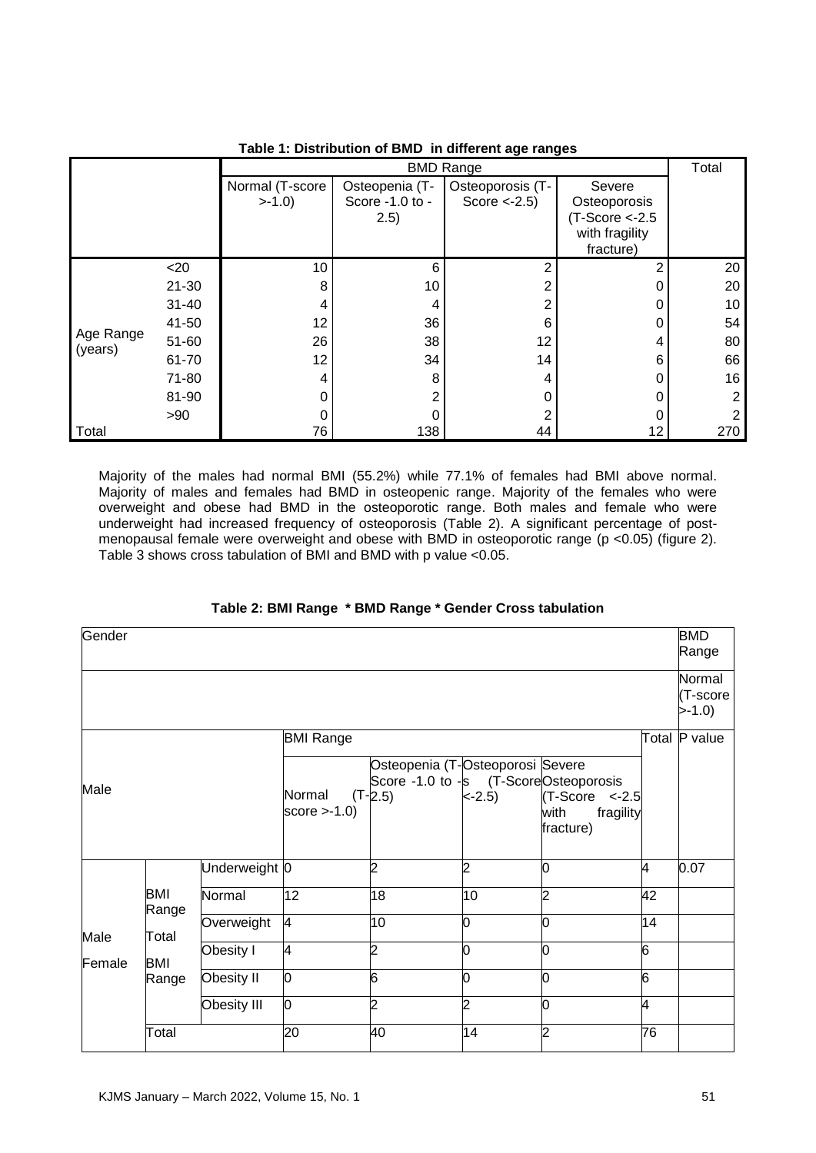|                      |           | <b>BMD Range</b> |                 |                  |                    |     |
|----------------------|-----------|------------------|-----------------|------------------|--------------------|-----|
|                      |           | Normal (T-score  | Osteopenia (T-  | Osteoporosis (T- | Severe             |     |
|                      |           | $>-1.0$          | Score -1.0 to - | Score $<-2.5$ )  | Osteoporosis       |     |
|                      |           |                  | 2.5)            |                  | $(T-Score < -2.5)$ |     |
|                      |           |                  |                 |                  | with fragility     |     |
|                      |           |                  |                 |                  | fracture)          |     |
|                      | $<$ 20    | 10               | 6               | 2                | 2                  | 20  |
| Age Range<br>(years) | $21 - 30$ | 8                | 10              | 2                | 0                  | 20  |
|                      | $31 - 40$ | 4                | 4               | 2                | 0                  | 10  |
|                      | 41-50     | 12               | 36              | 6                | 0                  | 54  |
|                      | 51-60     | 26               | 38              | 12               | 4                  | 80  |
|                      | 61-70     | 12               | 34              | 14               | 6                  | 66  |
|                      | 71-80     | 4                | 8               | 4                | 0                  | 16  |
|                      | 81-90     | 0                | $\mathfrak{p}$  |                  | ი                  | 2   |
|                      | > 90      | 0                | 0               | 2                |                    |     |
| Total                |           | 76               | 138             | 44               | 12                 | 270 |

# **Table 1: Distribution of BMD in different age ranges**

Majority of the males had normal BMI (55.2%) while 77.1% of females had BMI above normal. Majority of males and females had BMD in osteopenic range. Majority of the females who were overweight and obese had BMD in the osteoporotic range. Both males and female who were underweight had increased frequency of osteoporosis (Table 2). A significant percentage of postmenopausal female were overweight and obese with BMD in osteoporotic range (p <0.05) (figure 2). Table 3 shows cross tabulation of BMI and BMD with p value <0.05.

| Gender         |                                       |               |                          |                                                                                        |          |                                                     |                | <b>BMD</b><br>Range           |
|----------------|---------------------------------------|---------------|--------------------------|----------------------------------------------------------------------------------------|----------|-----------------------------------------------------|----------------|-------------------------------|
|                |                                       |               |                          |                                                                                        |          |                                                     |                | Normal<br>(T-score<br>$>-1.0$ |
|                |                                       |               | <b>BMI Range</b>         |                                                                                        |          |                                                     |                | Total P value                 |
| Male           |                                       |               | Normal<br>score $>1.0$ ) | Osteopenia (T-Osteoporosi Severe<br>Score -1.0 to -s (T-ScoreOsteoporosis<br>$(T-2.5)$ | $< -2.5$ | $(T-Score < -2.5$<br>fragility<br>with<br>fracture) |                |                               |
|                |                                       | Underweight 0 |                          | 2                                                                                      | 2        | O                                                   | 4              | 0.07                          |
| Male<br>Female | BMI<br>Range<br>Total<br>BMI<br>Range | Normal        | 12                       | 18                                                                                     | 10       | 2                                                   | 42             |                               |
|                |                                       | Overweight    | 4                        | 10                                                                                     | 0        |                                                     | 14             |                               |
|                |                                       | Obesity I     | 4                        | S.                                                                                     | 0        |                                                     | $\overline{6}$ |                               |
|                |                                       | Obesity II    | 0                        | $\overline{6}$                                                                         | 0        | O                                                   | $\overline{6}$ |                               |
|                |                                       | Obesity III   | 0                        | $\overline{c}$                                                                         | っ        | O                                                   | 4              |                               |
|                | Total                                 |               | 20                       | 40                                                                                     | 14       | っ                                                   | 76             |                               |

## **Table 2: BMI Range \* BMD Range \* Gender Cross tabulation**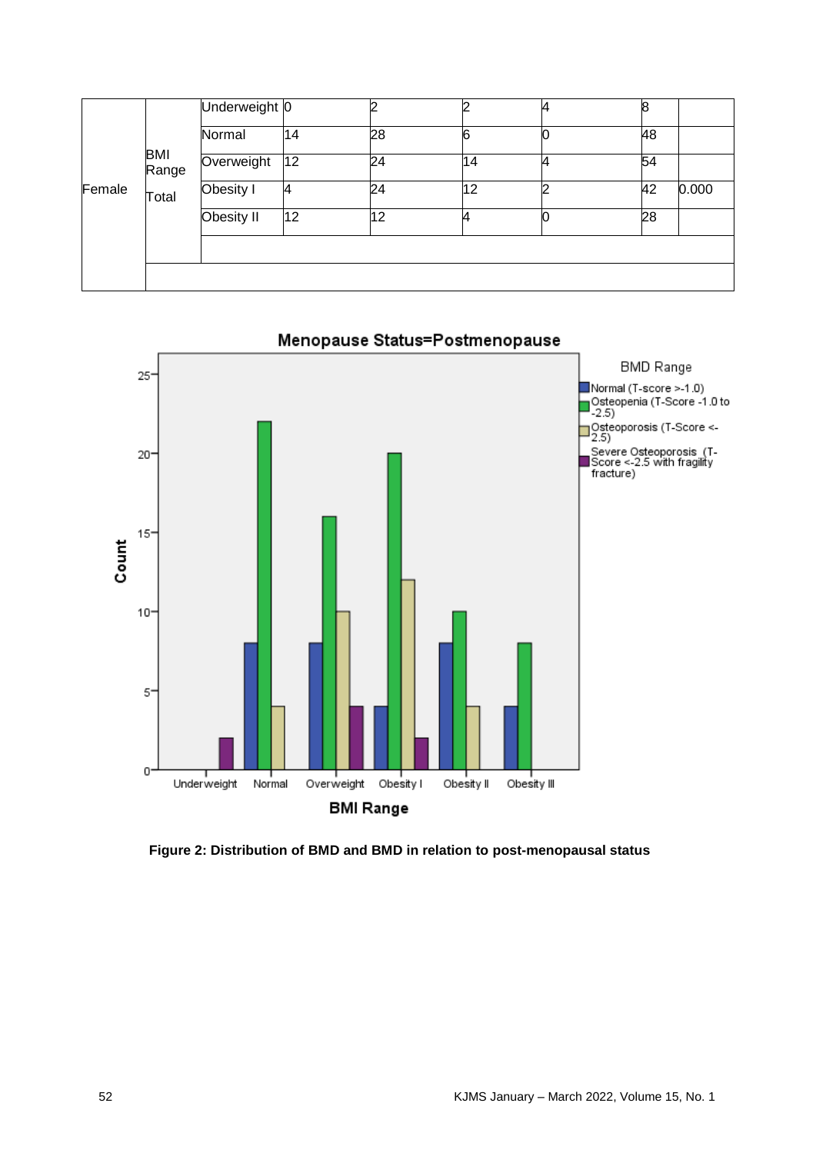| Female |              | Underweight 0 |    |    |    | 8  |       |
|--------|--------------|---------------|----|----|----|----|-------|
|        |              | Normal        | 14 | 28 | 6  | 48 |       |
|        | BMI<br>Range | Overweight    | 12 | 24 | 14 | 54 |       |
|        | Total        | Obesity I     | 4  | 24 | 12 | 42 | 0.000 |
|        |              | Obesity II    | 12 | 12 |    | 28 |       |
|        |              |               |    |    |    |    |       |
|        |              |               |    |    |    |    |       |



**Figure 2: Distribution of BMD and BMD in relation to post-menopausal status**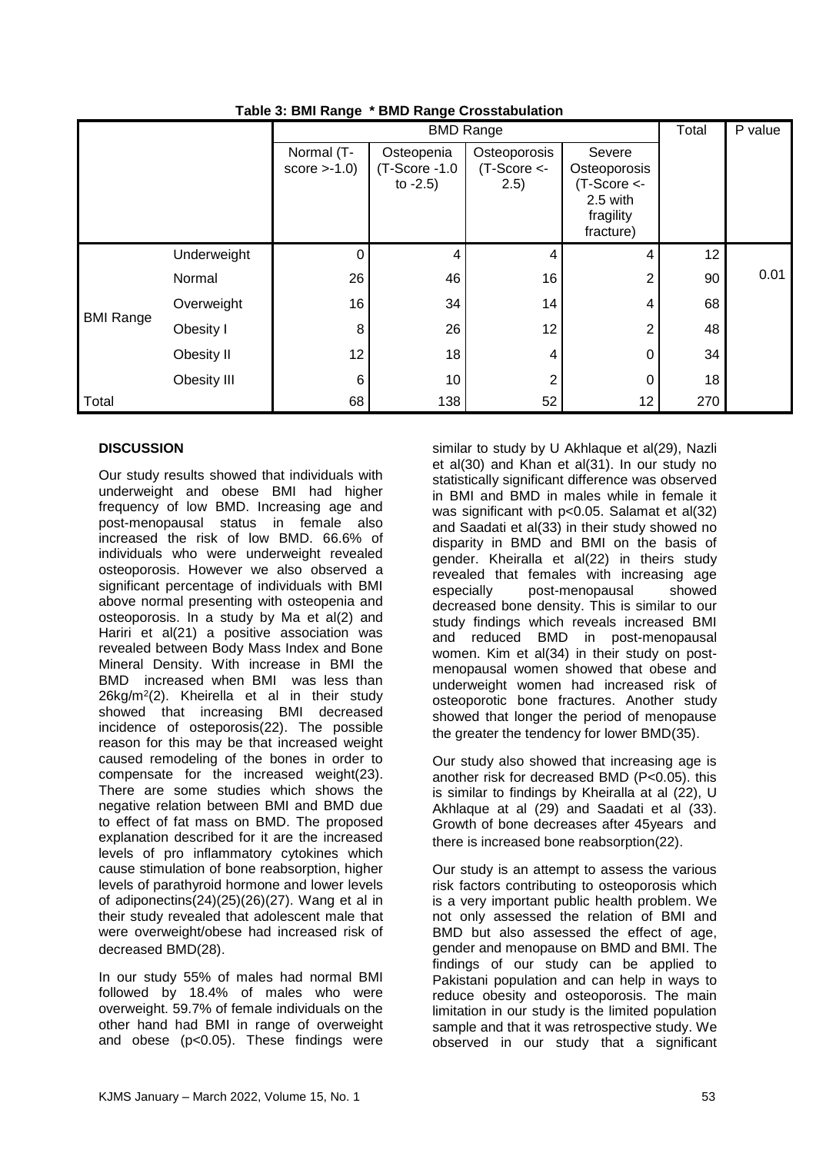|                  |             | ັ                            |                                             | <b>BMD Range</b>                       |                                                                                |                 |      |
|------------------|-------------|------------------------------|---------------------------------------------|----------------------------------------|--------------------------------------------------------------------------------|-----------------|------|
|                  |             |                              | Total                                       | P value                                |                                                                                |                 |      |
|                  |             | Normal (T-<br>score $>1.0$ ) | Osteopenia<br>(T-Score -1.0)<br>to $-2.5$ ) | Osteoporosis<br>$(T-Score < -$<br>2.5) | Severe<br>Osteoporosis<br>$(T-Score < -$<br>2.5 with<br>fragility<br>fracture) |                 |      |
| <b>BMI Range</b> | Underweight | 0                            | 4                                           | 4                                      | 4                                                                              | 12 <sub>2</sub> |      |
|                  | Normal      | 26                           | 46                                          | 16                                     | $\overline{2}$                                                                 | 90              | 0.01 |
|                  | Overweight  | 16                           | 34                                          | 14                                     | 4                                                                              | 68              |      |
|                  | Obesity I   | 8                            | 26                                          | 12                                     | $\overline{2}$                                                                 | 48              |      |
|                  | Obesity II  | 12                           | 18                                          | 4                                      | 0                                                                              | 34              |      |
|                  | Obesity III | 6                            | 10                                          | 2                                      | 0                                                                              | 18              |      |
| Total            |             | 68                           | 138                                         | 52                                     | 12 <sub>2</sub>                                                                | 270             |      |

**Table 3: BMI Range \* BMD Range Crosstabulation**

# **DISCUSSION**

Our study results showed that individuals with underweight and obese BMI had higher frequency of low BMD. Increasing age and post-menopausal status in female also increased the risk of low BMD. 66.6% of individuals who were underweight revealed osteoporosis. However we also observed a significant percentage of individuals with BMI above normal presenting with osteopenia and osteoporosis. In a study by Ma et al(2) and Hariri et al(21) a positive association was revealed between Body Mass Index and Bone Mineral Density. With increase in BMI the BMD increased when BMI was less than 26kg/m<sup>2</sup>(2). Kheirella et al in their study showed that increasing BMI decreased incidence of osteporosis(22). The possible reason for this may be that increased weight caused remodeling of the bones in order to compensate for the increased weight(23). There are some studies which shows the negative relation between BMI and BMD due to effect of fat mass on BMD. The proposed explanation described for it are the increased levels of pro inflammatory cytokines which cause stimulation of bone reabsorption, higher levels of parathyroid hormone and lower levels of adiponectins(24)(25)(26)(27). Wang et al in their study revealed that adolescent male that were overweight/obese had increased risk of decreased BMD(28).

In our study 55% of males had normal BMI followed by 18.4% of males who were overweight. 59.7% of female individuals on the other hand had BMI in range of overweight and obese (p<0.05). These findings were

similar to study by U Akhlaque et al(29), Nazli et al(30) and Khan et al(31). In our study no statistically significant difference was observed in BMI and BMD in males while in female it was significant with p<0.05. Salamat et al(32) and Saadati et al(33) in their study showed no disparity in BMD and BMI on the basis of gender. Kheiralla et al(22) in theirs study revealed that females with increasing age especially post-menopausal showed decreased bone density. This is similar to our study findings which reveals increased BMI and reduced BMD in post-menopausal women. Kim et al(34) in their study on postmenopausal women showed that obese and underweight women had increased risk of osteoporotic bone fractures. Another study showed that longer the period of menopause the greater the tendency for lower BMD(35).

Our study also showed that increasing age is another risk for decreased BMD (P<0.05). this is similar to findings by Kheiralla at al  $(22)$ , U Akhlaque at al (29) and Saadati et al (33). Growth of bone decreases after 45years and there is increased bone reabsorption(22).

Our study is an attempt to assess the various risk factors contributing to osteoporosis which is a very important public health problem. We not only assessed the relation of BMI and BMD but also assessed the effect of age, gender and menopause on BMD and BMI. The findings of our study can be applied to Pakistani population and can help in ways to reduce obesity and osteoporosis. The main limitation in our study is the limited population sample and that it was retrospective study. We observed in our study that a significant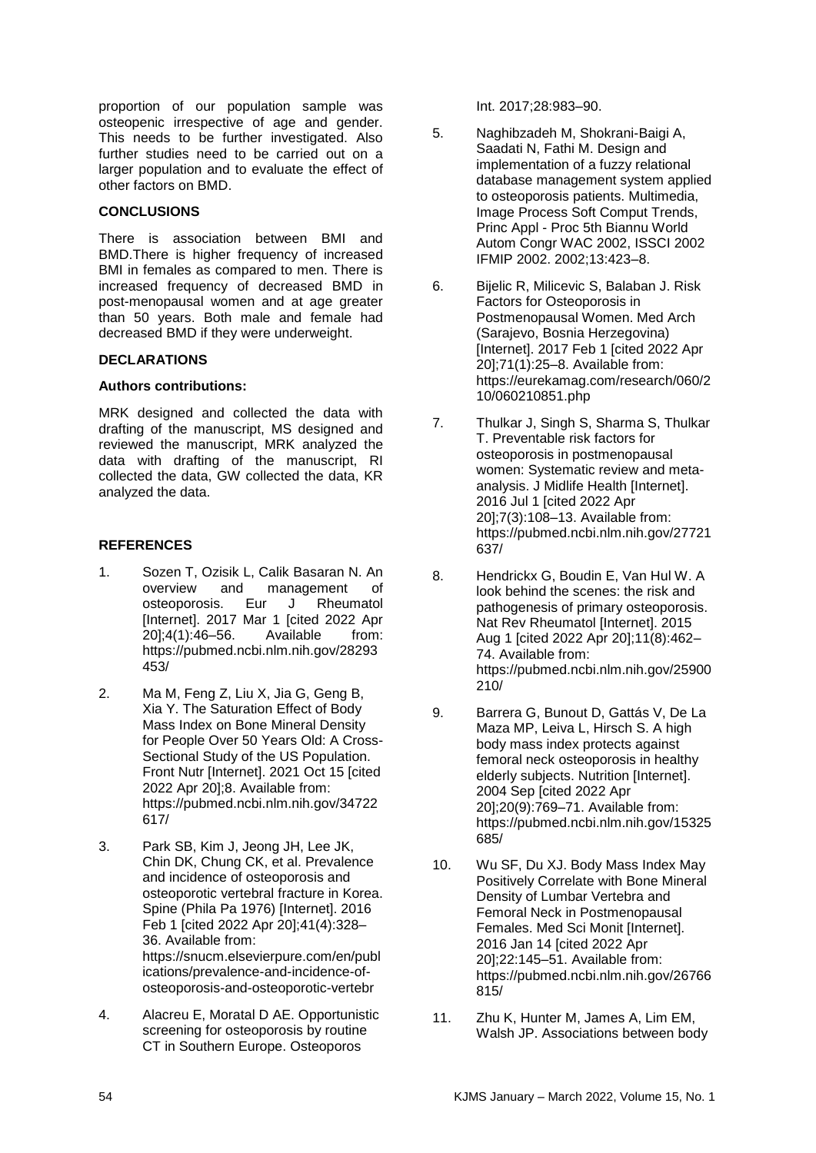proportion of our population sample was osteopenic irrespective of age and gender. This needs to be further investigated. Also further studies need to be carried out on a larger population and to evaluate the effect of other factors on BMD.

## **CONCLUSIONS**

There is association between BMI and BMD.There is higher frequency of increased BMI in females as compared to men. There is increased frequency of decreased BMD in post-menopausal women and at age greater than 50 years. Both male and female had decreased BMD if they were underweight.

#### **DECLARATIONS**

#### **Authors contributions:**

MRK designed and collected the data with drafting of the manuscript, MS designed and reviewed the manuscript, MRK analyzed the data with drafting of the manuscript, RI collected the data, GW collected the data, KR analyzed the data.

## **REFERENCES**

- 1. Sozen T, Ozisik L, Calik Basaran N. An overview and management of osteoporosis. Eur J Rheumatol [Internet]. 2017 Mar 1 [cited 2022 Apr 20];4(1):46–56. Available from: https://pubmed.ncbi.nlm.nih.gov/28293 453/
- 2. Ma M, Feng Z, Liu X, Jia G, Geng B, Xia Y. The Saturation Effect of Body Mass Index on Bone Mineral Density for People Over 50 Years Old: A Cross-Sectional Study of the US Population. Front Nutr [Internet]. 2021 Oct 15 [cited 2022 Apr 201:8. Available from: https://pubmed.ncbi.nlm.nih.gov/34722 617/
- 3. Park SB, Kim J, Jeong JH, Lee JK, Chin DK, Chung CK, et al. Prevalence and incidence of osteoporosis and osteoporotic vertebral fracture in Korea. Spine (Phila Pa 1976) [Internet]. 2016 Feb 1 [cited 2022 Apr 20];41(4):328– 36. Available from: https://snucm.elsevierpure.com/en/publ ications/prevalence-and-incidence-ofosteoporosis-and-osteoporotic-vertebr
- 4. Alacreu E, Moratal D AE. Opportunistic screening for osteoporosis by routine CT in Southern Europe. Osteoporos

Int. 2017;28:983–90.

- 5. Naghibzadeh M, Shokrani-Baigi A, Saadati N, Fathi M. Design and implementation of a fuzzy relational database management system applied to osteoporosis patients. Multimedia, Image Process Soft Comput Trends, Princ Appl - Proc 5th Biannu World Autom Congr WAC 2002, ISSCI 2002 IFMIP 2002. 2002;13:423–8.
- 6. Bijelic R, Milicevic S, Balaban J. Risk Factors for Osteoporosis in Postmenopausal Women. Med Arch (Sarajevo, Bosnia Herzegovina) [Internet]. 2017 Feb 1 [cited 2022 Apr 20];71(1):25–8. Available from: https://eurekamag.com/research/060/2 10/060210851.php
- 7. Thulkar J, Singh S, Sharma S, Thulkar T. Preventable risk factors for osteoporosis in postmenopausal women: Systematic review and metaanalysis. J Midlife Health [Internet]. 2016 Jul 1 [cited 2022 Apr 20];7(3):108–13. Available from: https://pubmed.ncbi.nlm.nih.gov/27721 637/
- 8. Hendrickx G, Boudin E, Van Hul W. A look behind the scenes: the risk and pathogenesis of primary osteoporosis. Nat Rev Rheumatol [Internet]. 2015 Aug 1 [cited 2022 Apr 20];11(8):462– 74. Available from: https://pubmed.ncbi.nlm.nih.gov/25900 210/
- 9. Barrera G, Bunout D, Gattás V, De La Maza MP, Leiva L, Hirsch S. A high body mass index protects against femoral neck osteoporosis in healthy elderly subjects. Nutrition [Internet]. 2004 Sep [cited 2022 Apr 20];20(9):769–71. Available from: https://pubmed.ncbi.nlm.nih.gov/15325 685/
- 10. Wu SF, Du XJ. Body Mass Index May Positively Correlate with Bone Mineral Density of Lumbar Vertebra and Femoral Neck in Postmenopausal Females. Med Sci Monit [Internet]. 2016 Jan 14 [cited 2022 Apr 20];22:145–51. Available from: https://pubmed.ncbi.nlm.nih.gov/26766 815/
- 11. Zhu K, Hunter M, James A, Lim EM, Walsh JP. Associations between body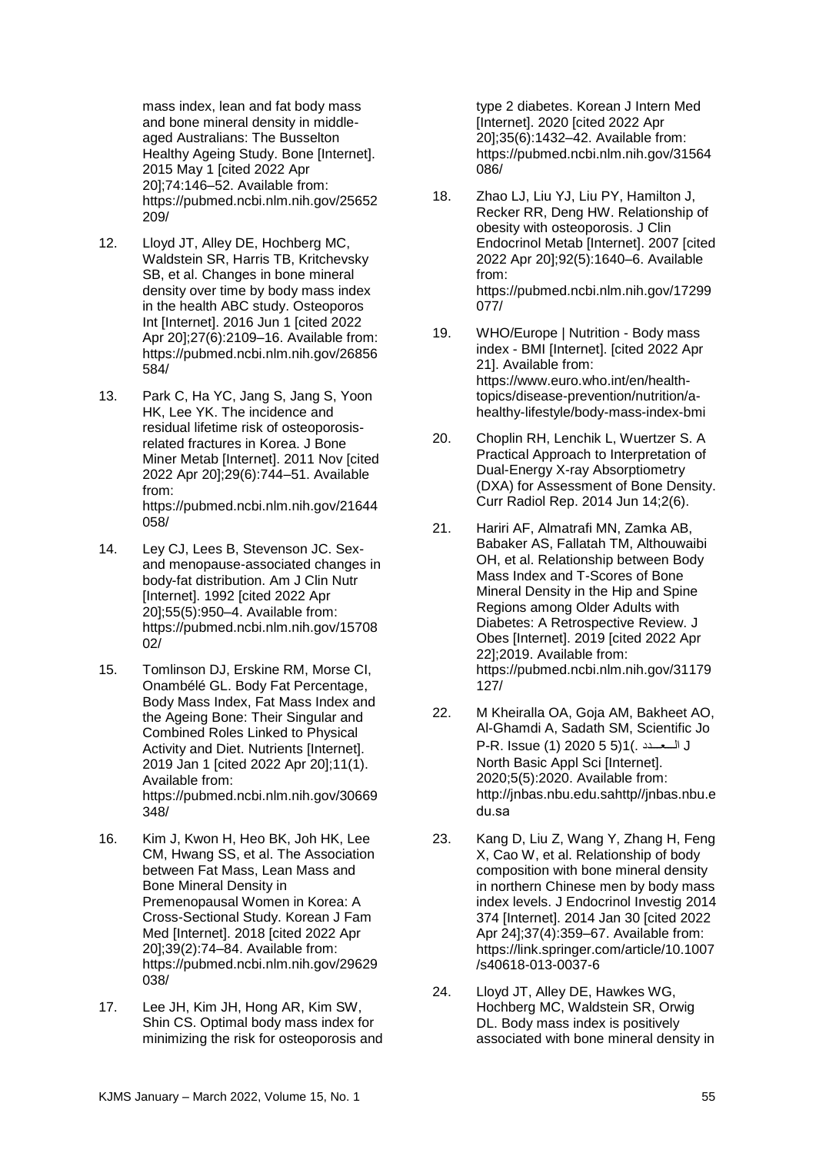mass index, lean and fat body mass and bone mineral density in middleaged Australians: The Busselton Healthy Ageing Study. Bone [Internet]. 2015 May 1 [cited 2022 Apr 20];74:146–52. Available from: https://pubmed.ncbi.nlm.nih.gov/25652 209/

- 12. Lloyd JT, Alley DE, Hochberg MC, Waldstein SR, Harris TB, Kritchevsky SB, et al. Changes in bone mineral density over time by body mass index in the health ABC study. Osteoporos Int [Internet]. 2016 Jun 1 [cited 2022 Apr 20];27(6):2109–16. Available from: https://pubmed.ncbi.nlm.nih.gov/26856 584/
- 13. Park C, Ha YC, Jang S, Jang S, Yoon HK, Lee YK. The incidence and residual lifetime risk of osteoporosisrelated fractures in Korea. J Bone Miner Metab [Internet]. 2011 Nov [cited 2022 Apr 20];29(6):744–51. Available from: https://pubmed.ncbi.nlm.nih.gov/21644 058/
- 14. Ley CJ, Lees B, Stevenson JC. Sexand menopause-associated changes in body-fat distribution. Am J Clin Nutr [Internet]. 1992 [cited 2022 Apr 20];55(5):950–4. Available from: https://pubmed.ncbi.nlm.nih.gov/15708  $02/$
- 15. Tomlinson DJ, Erskine RM, Morse CI, Onambélé GL. Body Fat Percentage, Body Mass Index, Fat Mass Index and the Ageing Bone: Their Singular and Combined Roles Linked to Physical Activity and Diet. Nutrients [Internet]. 2019 Jan 1 [cited 2022 Apr 20];11(1). Available from: https://pubmed.ncbi.nlm.nih.gov/30669 348/
- 16. Kim J, Kwon H, Heo BK, Joh HK, Lee CM, Hwang SS, et al. The Association between Fat Mass, Lean Mass and Bone Mineral Density in Premenopausal Women in Korea: A Cross-Sectional Study. Korean J Fam Med [Internet]. 2018 [cited 2022 Apr 20];39(2):74–84. Available from: https://pubmed.ncbi.nlm.nih.gov/29629 038/
- 17. Lee JH, Kim JH, Hong AR, Kim SW, Shin CS. Optimal body mass index for minimizing the risk for osteoporosis and

type 2 diabetes. Korean J Intern Med [Internet]. 2020 [cited 2022 Apr 20];35(6):1432–42. Available from: https://pubmed.ncbi.nlm.nih.gov/31564 086/

- 18. Zhao LJ, Liu YJ, Liu PY, Hamilton J, Recker RR, Deng HW. Relationship of obesity with osteoporosis. J Clin Endocrinol Metab [Internet]. 2007 [cited 2022 Apr 20];92(5):1640–6. Available from: https://pubmed.ncbi.nlm.nih.gov/17299 077/
- 19. WHO/Europe | Nutrition Body mass index - BMI [Internet]. [cited 2022 Apr 21]. Available from: https://www.euro.who.int/en/healthtopics/disease-prevention/nutrition/ahealthy-lifestyle/body-mass-index-bmi
- 20. Choplin RH, Lenchik L, Wuertzer S. A Practical Approach to Interpretation of Dual-Energy X-ray Absorptiometry (DXA) for Assessment of Bone Density. Curr Radiol Rep. 2014 Jun 14;2(6).
- 21. Hariri AF, Almatrafi MN, Zamka AB, Babaker AS, Fallatah TM, Althouwaibi OH, et al. Relationship between Body Mass Index and T-Scores of Bone Mineral Density in the Hip and Spine Regions among Older Adults with Diabetes: A Retrospective Review. J Obes [Internet]. 2019 [cited 2022 Apr 22];2019. Available from: https://pubmed.ncbi.nlm.nih.gov/31179 127/
- 22. M Kheiralla OA, Goja AM, Bakheet AO, Al-Ghamdi A, Sadath SM, Scientific Jo P-R. Issue (1) 2020 5 5)1(. ددـــعـــاا J North Basic Appl Sci [Internet]. 2020;5(5):2020. Available from: http://jnbas.nbu.edu.sahttp//jnbas.nbu.e du.sa
- 23. Kang D, Liu Z, Wang Y, Zhang H, Feng X, Cao W, et al. Relationship of body composition with bone mineral density in northern Chinese men by body mass index levels. J Endocrinol Investig 2014 374 [Internet]. 2014 Jan 30 [cited 2022 Apr 24];37(4):359–67. Available from: https://link.springer.com/article/10.1007 /s40618-013-0037-6
- 24. Lloyd JT, Alley DE, Hawkes WG, Hochberg MC, Waldstein SR, Orwig DL. Body mass index is positively associated with bone mineral density in